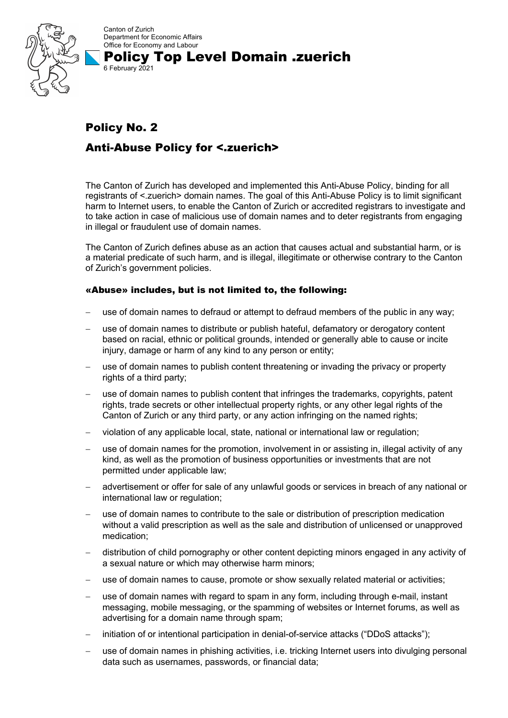

Canton of Zurich Department for Economic Affairs Office for Economy and Labour Policy Top Level Domain .zuerich

## Policy No. 2 Anti-Abuse Policy for <.zuerich>

6 February 2021

The Canton of Zurich has developed and implemented this Anti-Abuse Policy, binding for all registrants of <.zuerich> domain names. The goal of this Anti-Abuse Policy is to limit significant harm to Internet users, to enable the Canton of Zurich or accredited registrars to investigate and to take action in case of malicious use of domain names and to deter registrants from engaging in illegal or fraudulent use of domain names.

The Canton of Zurich defines abuse as an action that causes actual and substantial harm, or is a material predicate of such harm, and is illegal, illegitimate or otherwise contrary to the Canton of Zurich's government policies.

## «Abuse» includes, but is not limited to, the following:

- use of domain names to defraud or attempt to defraud members of the public in any way;
- use of domain names to distribute or publish hateful, defamatory or derogatory content based on racial, ethnic or political grounds, intended or generally able to cause or incite injury, damage or harm of any kind to any person or entity;
- use of domain names to publish content threatening or invading the privacy or property rights of a third party;
- use of domain names to publish content that infringes the trademarks, copyrights, patent rights, trade secrets or other intellectual property rights, or any other legal rights of the Canton of Zurich or any third party, or any action infringing on the named rights;
- violation of any applicable local, state, national or international law or regulation;
- use of domain names for the promotion, involvement in or assisting in, illegal activity of any kind, as well as the promotion of business opportunities or investments that are not permitted under applicable law;
- advertisement or offer for sale of any unlawful goods or services in breach of any national or international law or regulation;
- use of domain names to contribute to the sale or distribution of prescription medication without a valid prescription as well as the sale and distribution of unlicensed or unapproved medication;
- distribution of child pornography or other content depicting minors engaged in any activity of a sexual nature or which may otherwise harm minors;
- use of domain names to cause, promote or show sexually related material or activities;
- use of domain names with regard to spam in any form, including through e-mail, instant messaging, mobile messaging, or the spamming of websites or Internet forums, as well as advertising for a domain name through spam;
- initiation of or intentional participation in denial-of-service attacks ("DDoS attacks");
- use of domain names in phishing activities, i.e. tricking Internet users into divulging personal data such as usernames, passwords, or financial data;